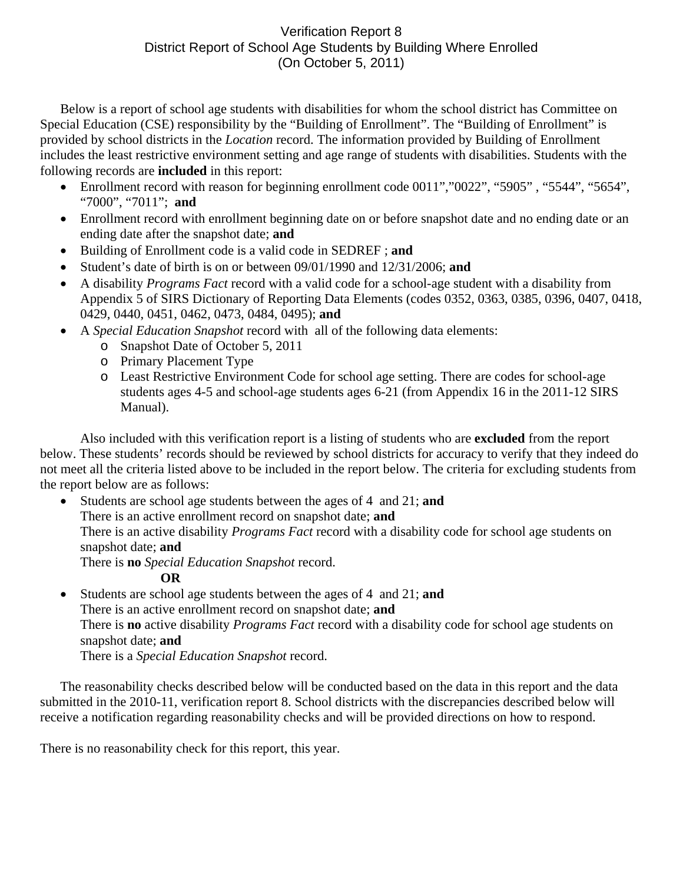## Verification Report 8 District Report of School Age Students by Building Where Enrolled (On October 5, 2011)

Below is a report of school age students with disabilities for whom the school district has Committee on Special Education (CSE) responsibility by the "Building of Enrollment". The "Building of Enrollment" is provided by school districts in the *Location* record. The information provided by Building of Enrollment includes the least restrictive environment setting and age range of students with disabilities. Students with the following records are **included** in this report:

- Enrollment record with reason for beginning enrollment code 0011","0022", "5905", "5544", "5654", "7000", "7011"; **and**
- Enrollment record with enrollment beginning date on or before snapshot date and no ending date or an ending date after the snapshot date; **and**
- Building of Enrollment code is a valid code in SEDREF ; **and**
- Student's date of birth is on or between 09/01/1990 and 12/31/2006; **and**
- A disability *Programs Fact* record with a valid code for a school-age student with a disability from Appendix 5 of SIRS Dictionary of Reporting Data Elements (codes 0352, 0363, 0385, 0396, 0407, 0418, 0429, 0440, 0451, 0462, 0473, 0484, 0495); **and**
- A *Special Education Snapshot* record with all of the following data elements:
	- o Snapshot Date of October 5, 2011
	- o Primary Placement Type
	- o Least Restrictive Environment Code for school age setting. There are codes for school-age students ages 4-5 and school-age students ages 6-21 (from Appendix 16 in the 2011-12 SIRS Manual).

Also included with this verification report is a listing of students who are **excluded** from the report below. These students' records should be reviewed by school districts for accuracy to verify that they indeed do not meet all the criteria listed above to be included in the report below. The criteria for excluding students from the report below are as follows:

• Students are school age students between the ages of 4 and 21; **and** There is an active enrollment record on snapshot date; **and** There is an active disability *Programs Fact* record with a disability code for school age students on snapshot date; **and**  There is **no** *Special Education Snapshot* record.

**OR** 

• Students are school age students between the ages of 4 and 21; **and**  There is an active enrollment record on snapshot date; **and** There is **no** active disability *Programs Fact* record with a disability code for school age students on snapshot date; **and**  There is a *Special Education Snapshot* record.

The reasonability checks described below will be conducted based on the data in this report and the data submitted in the 2010-11, verification report 8. School districts with the discrepancies described below will receive a notification regarding reasonability checks and will be provided directions on how to respond.

There is no reasonability check for this report, this year.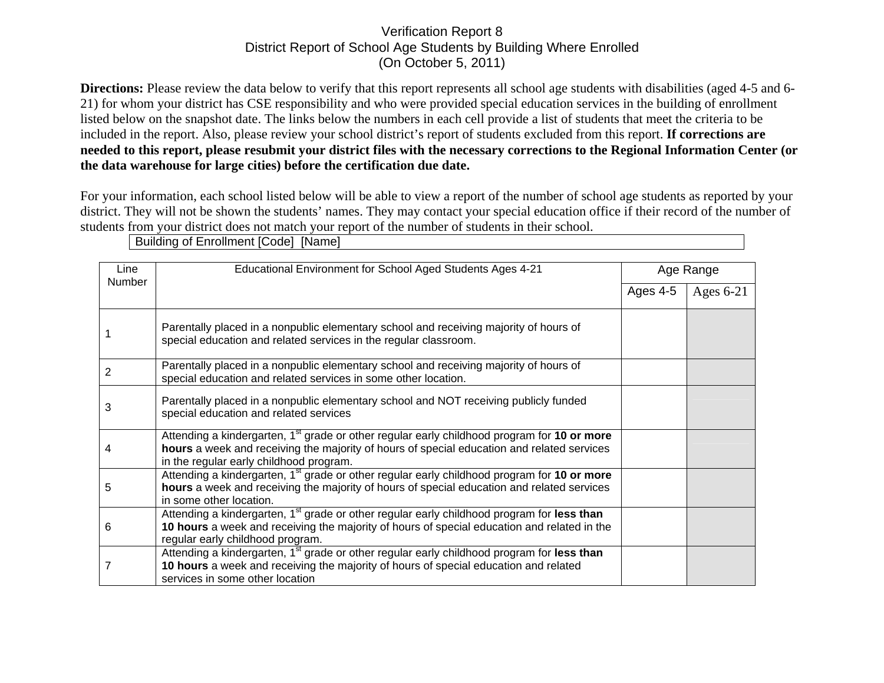## Verification Report 8 District Report of School Age Students by Building Where Enrolled (On October 5, 2011)

**Directions:** Please review the data below to verify that this report represents all school age students with disabilities (aged 4-5 and 6-21) for whom your district has CSE responsibility and who were provided special education services in the building of enrollment listed below on the snapshot date. The links below the numbers in each cell provide a list of students that meet the criteria to be included in the report. Also, please review your school district's report of students excluded from this report. **If corrections are needed to this report, please resubmit your district files with the necessary corrections to the Regional Information Center (or the data warehouse for large cities) before the certification due date.**

For your information, each school listed below will be able to view a report of the number of school age students as reported by your district. They will not be shown the students' names. They may contact your special education office if their record of the number of students from your district does not match your report of the number of students in their school.

| Line<br><b>Number</b> | Educational Environment for School Aged Students Ages 4-21                                              |          | Age Range   |  |
|-----------------------|---------------------------------------------------------------------------------------------------------|----------|-------------|--|
|                       |                                                                                                         |          |             |  |
|                       |                                                                                                         | Ages 4-5 | Ages $6-21$ |  |
|                       |                                                                                                         |          |             |  |
|                       | Parentally placed in a nonpublic elementary school and receiving majority of hours of                   |          |             |  |
|                       | special education and related services in the regular classroom.                                        |          |             |  |
|                       |                                                                                                         |          |             |  |
|                       | Parentally placed in a nonpublic elementary school and receiving majority of hours of                   |          |             |  |
| 2                     | special education and related services in some other location.                                          |          |             |  |
|                       |                                                                                                         |          |             |  |
| 3                     | Parentally placed in a nonpublic elementary school and NOT receiving publicly funded                    |          |             |  |
|                       | special education and related services                                                                  |          |             |  |
|                       | Attending a kindergarten, 1 <sup>st</sup> grade or other regular early childhood program for 10 or more |          |             |  |
| 4                     | hours a week and receiving the majority of hours of special education and related services              |          |             |  |
|                       | in the regular early childhood program.                                                                 |          |             |  |
|                       | Attending a kindergarten, 1 <sup>st</sup> grade or other regular early childhood program for 10 or more |          |             |  |
| 5                     | hours a week and receiving the majority of hours of special education and related services              |          |             |  |
|                       | in some other location.                                                                                 |          |             |  |
| 6                     | Attending a kindergarten, 1 <sup>st</sup> grade or other regular early childhood program for less than  |          |             |  |
|                       | 10 hours a week and receiving the majority of hours of special education and related in the             |          |             |  |
|                       | regular early childhood program.                                                                        |          |             |  |
|                       | Attending a kindergarten, 1 <sup>st</sup> grade or other regular early childhood program for less than  |          |             |  |
|                       | 10 hours a week and receiving the majority of hours of special education and related                    |          |             |  |
|                       | services in some other location                                                                         |          |             |  |

Building of Enrollment [Code] [Name]